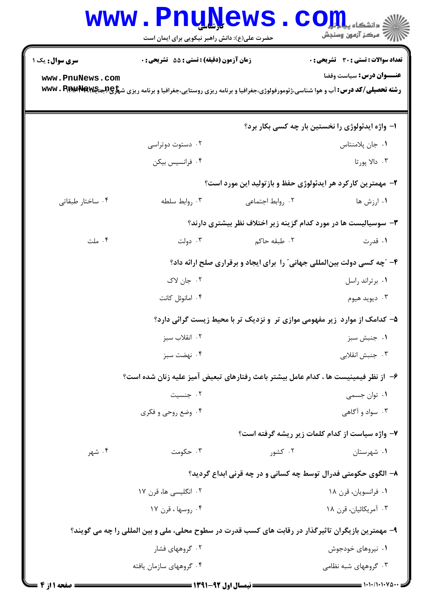|                  | <b>www.PnuNews</b>                                                                                 |                          | ي<br>چ دانشڪاه پ <b>ياپايا</b><br>ر آمرڪز آزمون وسنڊش                                                                                                                      |
|------------------|----------------------------------------------------------------------------------------------------|--------------------------|----------------------------------------------------------------------------------------------------------------------------------------------------------------------------|
|                  | حضرت علی(ع): دانش راهبر نیکویی برای ایمان است                                                      |                          |                                                                                                                                                                            |
| سری سوال: یک ۱   | <b>زمان آزمون (دقیقه) : تستی : 55 تشریحی : 0</b>                                                   |                          | <b>تعداد سوالات : تستی : 30 ٪ تشریحی : 0</b>                                                                                                                               |
| www.PnuNews.com  |                                                                                                    |                          | عنـــوان درس: سياست وفضا<br><b>رشته تحصیلی/کد درس: آب و هوا شناسی،ژئومورفولوژی،جغرافیا و برنامه ریزی روستایی،جغرافیا و برنامه ریزی ش<del>پلچ MS و Www . PhyapRa</del>w</b> |
|                  |                                                                                                    |                          | ۱- واژه ایدئولوژی را نخستین بار چه کسی بکار برد؟                                                                                                                           |
|                  | ۰۲ دستوت دوتراسی                                                                                   |                          | ٠١ جان پلامنتاس                                                                                                                                                            |
|                  | ۰۴ فرانسیس بیکن                                                                                    |                          | ۰۳ دالا يورتا                                                                                                                                                              |
|                  |                                                                                                    |                          | ۲- مهمترین کارکرد هر ایدئولوژی حفظ و بازتولید این مورد است؟                                                                                                                |
| ۰۴ ساختار طبقاتی | ۰۳ روابط سلطه                                                                                      | ۰۲ روابط اجتماعی         | ۰۱ ارزش ها                                                                                                                                                                 |
|                  |                                                                                                    |                          | ۳- سوسیالیست ها در مورد کدام گزینه زیر اختلاف نظر بیشتری دارند؟                                                                                                            |
| ۰۴ ملت           | ۰۳ دولت                                                                                            | ۰۲ طبقه حاک <sub>م</sub> | ۰۱ قدرت                                                                                                                                                                    |
|                  |                                                                                                    |                          | ۴- "چه کسی دولت بین لمللی جهانی" را برای ایجاد و برقراری صلح ارائه داد؟                                                                                                    |
|                  | ۰۲ جان لاک                                                                                         |                          | ٠١. برتراند راسل                                                                                                                                                           |
|                  | ۰۴ امانوئل کانت                                                                                    |                          | ۰۳ ديويد هيوم                                                                                                                                                              |
|                  |                                                                                                    |                          | ۵– کدامک از موارد زیر مفهومی موازی تر و نزدیک تر با محیط زیست گرائی دارد؟                                                                                                  |
|                  | ۰۲ انقلاب سبز                                                                                      |                          | ۰۱ جنبش سبز                                                                                                                                                                |
|                  | ۰۴ نهضت سبز                                                                                        |                          | ۰۳ جنبش انقلاب <i>ی</i>                                                                                                                                                    |
|                  | ۶– از نظر فیمینیست ها ، کدام عامل بیشتر باعث رفتارهای تبعیض آمیز علیه زنان شده است؟                |                          |                                                                                                                                                                            |
|                  | ۰۲ جنسیت                                                                                           |                          | ۰۱ توان جسمی                                                                                                                                                               |
|                  | ۰۴ وضع روحی و فکری                                                                                 |                          | ۰۳ سواد و آگاهی                                                                                                                                                            |
|                  |                                                                                                    |                          | ۷- واژه سیاست از کدام کلمات زیر ریشه گرفته است؟                                                                                                                            |
| ۰۴ شهر           | ۰۳ حکومت                                                                                           | ۰۲ کشور                  | ۰۱ شهرستان                                                                                                                                                                 |
|                  |                                                                                                    |                          | ۸– الگوی حکومتی فدرال توسط چه کسانی و در چه قرنی ابداع گردید؟                                                                                                              |
|                  | ۲ . انگلیسی ها، قرن ۱۷                                                                             |                          | ٠١. فرانسويان، قرن ١٨                                                                                                                                                      |
|                  | ۰۴ روسها ، قرن ۱۷                                                                                  |                          | ۰۳ آمریکائیان، قرن ۱۸                                                                                                                                                      |
|                  | ۹- مهمترین بازیگران تاثیرگذار در رقابت های کسب قدرت در سطوح محلی، ملی و بین المللی را چه می گویند؟ |                          |                                                                                                                                                                            |
|                  | ۰۲ گروههای فشار                                                                                    |                          | ۰۱ نیروهای خودجوش                                                                                                                                                          |
|                  | ۰۴ گروههای سازمان یافته                                                                            |                          | ۰۳ گروههای شبه نظامی                                                                                                                                                       |
|                  |                                                                                                    |                          |                                                                                                                                                                            |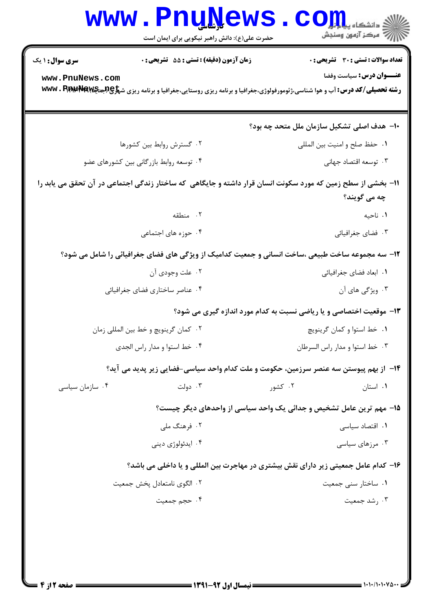| <b>WWW</b>                                                                                                                  | <b>TTÄTÄGN</b><br>حضرت علی(ع): دانش راهبر نیکویی برای ایمان است | د دانشکاه پ <b>یا ب<sup>ا</sup> تار</b><br>أأأ مركز آزمون وسنجش                                                                                                        |  |
|-----------------------------------------------------------------------------------------------------------------------------|-----------------------------------------------------------------|------------------------------------------------------------------------------------------------------------------------------------------------------------------------|--|
| <b>سری سوال : ۱ یک</b>                                                                                                      | زمان آزمون (دقیقه) : تستی : 55 آتشریحی : 0                      | <b>تعداد سوالات : تستی : 30 ٪ تشریحی : 0</b>                                                                                                                           |  |
| www.PnuNews.com                                                                                                             |                                                                 | عنـــوان درس: سياست وفضا<br><b>رشته تحصیلی/کد درس: آ</b> ب و هوا شناسی،ژئومورفولوژی،جغرافیا و برنامه ریزی روستایی،جغرافیا و برنامه ریزی ش <del>پلچ@RجهW</del> W . Pipi |  |
|                                                                                                                             |                                                                 | ∙۱− هدف اصلی تشکیل سازمان ملل متحد چه بود؟                                                                                                                             |  |
|                                                                                                                             | ۰۲ گسترش روابط بین کشورها                                       | ٠١ حفظ صلح وامنيت بين المللي                                                                                                                                           |  |
|                                                                                                                             | ۰۴ توسعه روابط بازرگانی بین کشورهای عضو                         | ۰۳ توسعه اقتصاد جهانی                                                                                                                                                  |  |
| 11- بخشی از سطح زمین که مورد سکونت انسان قرار داشته و جایگاهی که ساختار زندگی اجتماعی در آن تحقق می یابد را<br>چه می گویند؟ |                                                                 |                                                                                                                                                                        |  |
|                                                                                                                             | ۲. منطقه                                                        | ٠١ ناحيه                                                                                                                                                               |  |
|                                                                                                                             | ۰۴ حوزه های اجتماعی                                             | ۰۳ فضای جغرافیائی                                                                                                                                                      |  |
|                                                                                                                             |                                                                 | ۱۲- سه مجموعه ساخت طبیعی ،ساخت انسانی و جمعیت کدامیک از ویژگی های فضای جغرافیائی را شامل می شود؟                                                                       |  |
|                                                                                                                             | ۰۲ علت وجودي آن                                                 | ٠١ ابعاد فضاي جغرافيائي                                                                                                                                                |  |
|                                                                                                                             | ۰۴ عناصر ساختاري فضاي جغرافيائي                                 | ۰۳ ویژگی های آن                                                                                                                                                        |  |
| ۱۳- موقعیت اختصاصی و یا ریاضی نسبت به کدام مورد اندازه گیری می شود؟                                                         |                                                                 |                                                                                                                                                                        |  |
|                                                                                                                             | ۰۲ کمان گرینویچ و خط بین المللی زمان                            | ٠١. خط استوا و كمان گرينويچ                                                                                                                                            |  |
|                                                                                                                             | ۰۴ خط استوا و مدار راس الجدى                                    | ۰۳ خط استوا و مدار راس السرطان                                                                                                                                         |  |
| ۱۴- از بهم پیوستن سه عنصر سرزمین، حکومت و ملت کدام واحد سیاسی-فضایی زیر پدید می آید؟                                        |                                                                 |                                                                                                                                                                        |  |
| ۰۴ سازمان سیاسی                                                                                                             | ۰۳ دولت                                                         | ۰۲ کشور<br>۰۱ استان                                                                                                                                                    |  |
|                                                                                                                             |                                                                 | ۱۵- مهم ترین عامل تشخیص و جدائی یک واحد سیاسی از واحدهای دیگر چیست؟                                                                                                    |  |
|                                                                                                                             | ۰۲ فرهنگ ملی                                                    | ۰۱ اقتصاد سیاسی                                                                                                                                                        |  |
|                                                                                                                             | ۰۴ ايدئولوژي دينې                                               | ۰۳ مرزهای سیاسی                                                                                                                                                        |  |
| ۱۶– کدام عامل جمعیتی زیر دارای نقش بیشتری در مهاجرت بین المللی و یا داخلی می باشد؟                                          |                                                                 |                                                                                                                                                                        |  |
|                                                                                                                             | ٠٢ الگوى نامتعادل پخش جمعيت                                     | ۰۱ ساختار سنی جمعیت                                                                                                                                                    |  |
|                                                                                                                             | ۰۴ حجم جمعیت                                                    | ۰۳ رشد جمعیت                                                                                                                                                           |  |
|                                                                                                                             |                                                                 |                                                                                                                                                                        |  |

 $= 1.1 - (1.1 - 1.8)$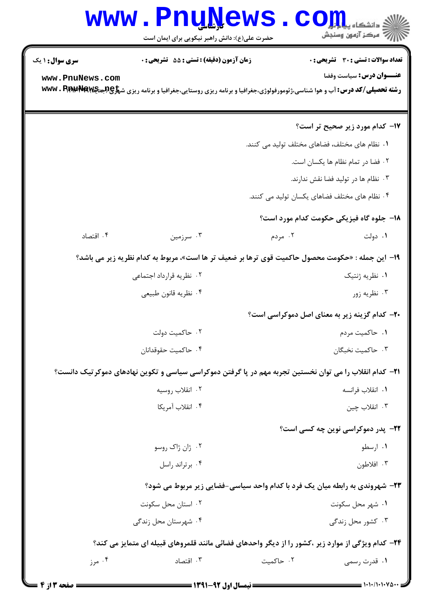## Www.PnuNews.com

| <b>سری سوال : ۱ یک</b>                                                                            | <b>زمان آزمون (دقیقه) : تستی : 55 تشریحی : 0</b> |           | تعداد سوالات : تستي : 30 - تشريحي : 0                                                                                                             |
|---------------------------------------------------------------------------------------------------|--------------------------------------------------|-----------|---------------------------------------------------------------------------------------------------------------------------------------------------|
| www.PnuNews.com                                                                                   |                                                  |           | عنـــوان درس: سیاست وفضا                                                                                                                          |
|                                                                                                   |                                                  |           | <b>رشته تحصیلی/کد درس: آ</b> ب و هوا شناسی،ژئومورفولوژی،جغرافیا و برنامه ریزی روستایی،جغرافیا و برنامه ریزی ش <del>پراچ (باجه WWW . Phyerra</del> |
|                                                                                                   |                                                  |           |                                                                                                                                                   |
|                                                                                                   |                                                  |           | ۱۷– کدام مورد زیر صحیح تر است؟                                                                                                                    |
|                                                                                                   |                                                  |           | ۰۱ نظام های مختلف، فضاهای مختلف تولید می کنند.                                                                                                    |
|                                                                                                   |                                                  |           | ٠٢ فضا در تمام نظام ها يكسان است.                                                                                                                 |
|                                                                                                   |                                                  |           | ۰۳ نظام ها در تولید فضا نقش ندارند.                                                                                                               |
|                                                                                                   |                                                  |           | ۰۴ نظام های مختلف فضاهای یکسان تولید می کنند.                                                                                                     |
|                                                                                                   |                                                  |           | 18- جلوه گاه فیزیکی حکومت کدام مورد است؟                                                                                                          |
| ۰۴ اقتصاد                                                                                         | ۰۳ سرزمین                                        | ۰۲ مردم   | ۰۱ دولت                                                                                                                                           |
|                                                                                                   |                                                  |           | ۱۹− این جمله : «حکومت محصول حاکمیت قوی ترها بر ضعیف تر ها است»، مربوط به کدام نظریه زیر می باشد؟                                                  |
|                                                                                                   | ۰۲ نظریه قرارداد اجتماعی                         |           | ۰۱ نظریه ژنتیک                                                                                                                                    |
|                                                                                                   | ۰۴ نظريه قانون طبيعي                             |           | ۰۳ نظریه زور                                                                                                                                      |
|                                                                                                   |                                                  |           | <b>۲۰</b> - کدام گزینه زیر به معنای اصل دموکراسی است؟                                                                                             |
|                                                                                                   | ۰۲ حاكميت دولت                                   |           | ۰۱ حاکمیت مردم                                                                                                                                    |
|                                                                                                   | ۰۴ حاكميت حقوقدانان                              |           | ۰۳ حاكميت نخبگان                                                                                                                                  |
|                                                                                                   |                                                  |           | ۲۱– کدام انقلاب را می توان نخستین تجربه مهم در پا گرفتن دموکراسی سیاسی و تکوین نهادهای دموکرتیک دانست؟                                            |
|                                                                                                   | ۰۲ انقلاب روسیه                                  |           | ٠١. انقلاب فرانسه                                                                                                                                 |
|                                                                                                   | ۰۴ انقلاب آمريكا                                 |           | ۰۳ انقلاب چين                                                                                                                                     |
|                                                                                                   |                                                  |           | ٢٢- پدر دموکراسی نوین چه کسی است؟                                                                                                                 |
|                                                                                                   | ۰۲ ژان ژاک روسو                                  |           | ۰۱ ارسطو                                                                                                                                          |
|                                                                                                   | ۰۴ برتراند راسل                                  |           | ۰۳ افلاطون                                                                                                                                        |
| <b>۲۳</b> - شهروندی به رابطه میان یک فرد با کدام واحد سیاسی-فضایی زیر مربوط می شود؟               |                                                  |           |                                                                                                                                                   |
|                                                                                                   | ۰۲ استان محل سکونت                               |           | ۰۱ شهر محل سکونت                                                                                                                                  |
|                                                                                                   | ۰۴ شهرستان محل زندگی                             |           | ۰۳ کشور محل زندگی                                                                                                                                 |
| ۲۴- کدام ویژگی از موارد زیر ،کشور را از دیگر واحدهای فضائی مانند قلمروهای قبیله ای متمایز می کند؟ |                                                  |           |                                                                                                                                                   |
| ۰۴ مرز                                                                                            | ۰۳ اقتصاد                                        | ۰۲ حاکمیت | ۰۱ قدرت رسمی                                                                                                                                      |
|                                                                                                   |                                                  |           |                                                                                                                                                   |